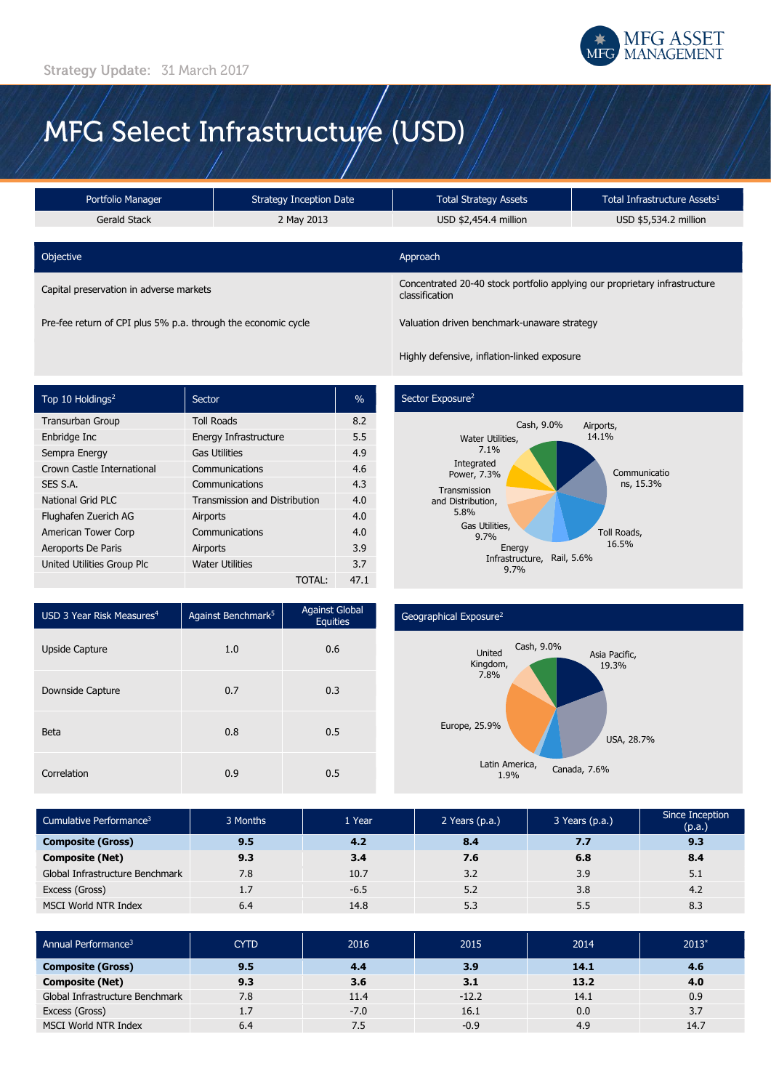

# MFG Select Infrastructure (USD)

| Portfolio Manager                       | <b>Strategy Inception Date</b> |                                                                                              | Total Infrastructure Assets <sup>1</sup> |  |
|-----------------------------------------|--------------------------------|----------------------------------------------------------------------------------------------|------------------------------------------|--|
| Gerald Stack                            | 2 May 2013                     | USD \$2,454.4 million                                                                        | USD \$5,534.2 million                    |  |
|                                         |                                |                                                                                              |                                          |  |
| Objective                               |                                | Approach                                                                                     |                                          |  |
| Capital preservation in adverse markets |                                | Concentrated 20-40 stock portfolio applying our proprietary infrastructure<br>classification |                                          |  |

Pre-fee return of CPI plus 5% p.a. through the economic cycle Valuation driven benchmark-unaware strategy

Highly defensive, inflation-linked exposure

| Top 10 Holdings <sup>2</sup> | Sector                               | $\frac{0}{0}$ |
|------------------------------|--------------------------------------|---------------|
| <b>Transurban Group</b>      | <b>Toll Roads</b>                    | 8.2           |
| Enbridge Inc                 | Energy Infrastructure                | 5.5           |
| Sempra Energy                | <b>Gas Utilities</b>                 | 4.9           |
| Crown Castle International   | Communications                       | 4.6           |
| SES S.A.                     | Communications                       | 4.3           |
| National Grid PLC            | <b>Transmission and Distribution</b> | 4.0           |
| Flughafen Zuerich AG         | Airports                             | 4.0           |
| American Tower Corp          | Communications                       | 4.0           |
| Aeroports De Paris           | Airports                             | 3.9           |
| United Utilities Group Plc   | <b>Water Utilities</b>               | 3.7           |
|                              | TOTAL:                               | 47.1          |

## Sector Exposure<sup>2</sup>



| USD 3 Year Risk Measures <sup>4</sup> | Against Benchmark <sup>5</sup> | <b>Against Global</b><br><b>Equities</b> |
|---------------------------------------|--------------------------------|------------------------------------------|
| <b>Upside Capture</b>                 | 1.0                            | 0.6                                      |
| Downside Capture                      | 0.7                            | 0.3                                      |
| Beta                                  | 0.8                            | 0.5                                      |
| Correlation                           | 0.9                            | 0.5                                      |

#### Geographical Exposure<sup>2</sup>



| Cumulative Performance <sup>3</sup> | 3 Months | 1 Year | 2 Years $(p.a.)$ | 3 Years (p.a.) | Since Inception<br>(p.a.) |
|-------------------------------------|----------|--------|------------------|----------------|---------------------------|
| <b>Composite (Gross)</b>            | 9.5      | 4.2    | 8.4              | 7.7            | 9.3                       |
| <b>Composite (Net)</b>              | 9.3      | 3.4    | 7.6              | 6.8            | 8.4                       |
| Global Infrastructure Benchmark     | 7.8      | 10.7   | 3.2              | 3.9            | 5.1                       |
| Excess (Gross)                      | 1.7      | $-6.5$ | 5.2              | 3.8            | 4.2                       |
| MSCI World NTR Index                | 6.4      | 14.8   | 5.3              | 5.5            | 8.3                       |

| Annual Performance <sup>3</sup> | <b>CYTD</b>      | 2016   | 2015    | 2014 | $2013*$ |
|---------------------------------|------------------|--------|---------|------|---------|
| <b>Composite (Gross)</b>        | 9.5              | 4.4    | 3.9     | 14.1 | 4.6     |
| <b>Composite (Net)</b>          | 9.3              | 3.6    | 3.1     | 13.2 | 4.0     |
| Global Infrastructure Benchmark | 7.8              | 11.4   | $-12.2$ | 14.1 | 0.9     |
| Excess (Gross)                  | 1.7 <sup>2</sup> | $-7.0$ | 16.1    | 0.0  | 3.7     |
| MSCI World NTR Index            | 6.4              | 7.5    | $-0.9$  | 4.9  | 14.7    |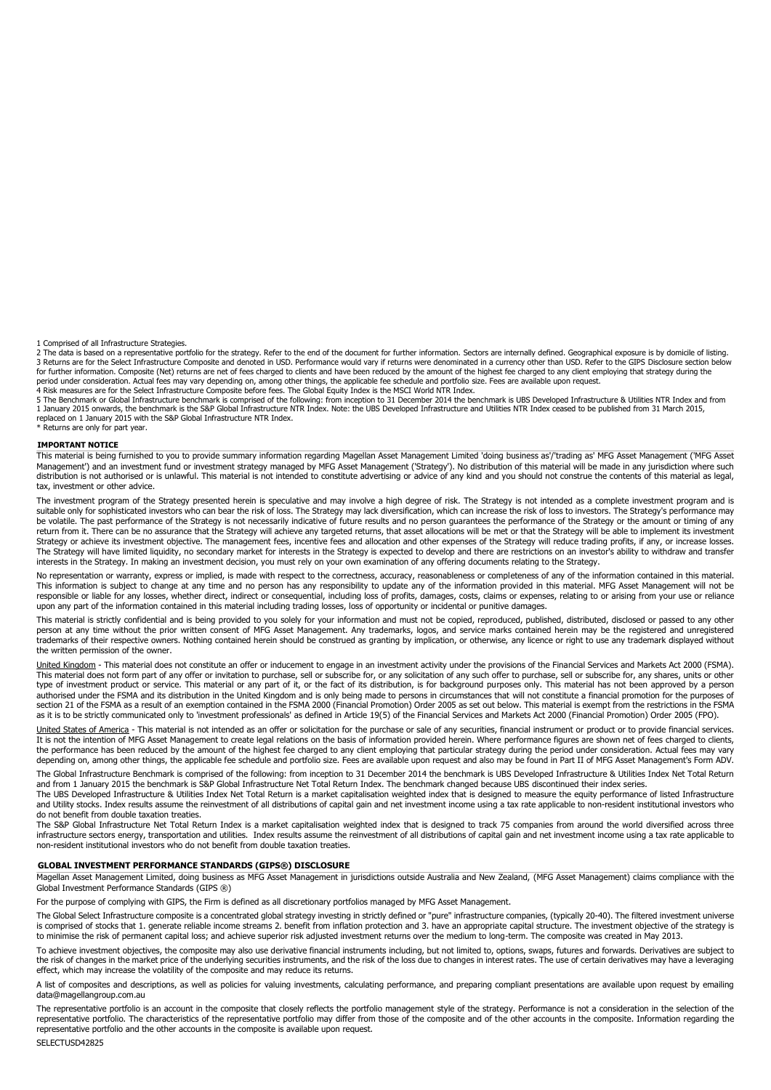1 Comprised of all Infrastructure Strategies.

2 The data is based on a representative portfolio for the strategy. Refer to the end of the document for further information. Sectors are internally defined. Geographical exposure is by domicile of listing. 3 Returns are for the Select Infrastructure Composite and denoted in USD. Performance would vary if returns were denominated in a currency other than USD. Refer to the GIPS Disclosure section below<br>period under considerati

5 The Benchmark or Global Infrastructure benchmark is comprised of the following: from inception to 31 December 2014 the benchmark is UBS Developed Infrastructure & Utilities NTR Index and from<br>1 January 2015 onwards, the replaced on 1 January 2015 with the S&P Global Infrastructure NTR Index.

\* Returns are only for part year.

#### **IMPORTANT NOTICE**

This material is being furnished to you to provide summary information regarding Magellan Asset Management Limited 'doing business as'/'trading as' MFG Asset Management ('MFG Asset<br>Management') and an investment fund or in tax, investment or other advice.

The investment program of the Strategy presented herein is speculative and may involve a high degree of risk. The Strategy is not intended as a complete investment program and is<br>suitable only for sophisticated investors w be volatile. The past performance of the Strategy is not necessarily indicative of future results and no person guarantees the performance of the Strategy or the amount or timing of any<br>return from it. There can be no assu Strategy or achieve its investment objective. The management fees, incentive fees and allocation and other expenses of the Strategy will reduce trading profits, if any, or increase losses. The Strategy will have limited liquidity, no secondary market for interests in the Strategy is expected to develop and there are restrictions on an investor's ability to withdraw and transfer interests in the Strategy. In making an investment decision, you must rely on your own examination of any offering documents relating to the Strategy.

No representation or warranty, express or implied, is made with respect to the correctness, accuracy, reasonableness or completeness of any of the information contained in this material. This information is subject to change at any time and no person has any responsibility to update any of the information provided in this material. MFG Asset Management will not be<br>responsible or liable for any losses, whet upon any part of the information contained in this material including trading losses, loss of opportunity or incidental or punitive damages.

This material is strictly confidential and is being provided to you solely for your information and must not be copied, reproduced, published, distributed, disclosed or passed to any other person at any time without the prior written consent of MFG Asset Management. Any trademarks, logos, and service marks contained herein may be the registered and unregistered<br>trademarks of their respective owners. Nothing the written permission of the owner.

United Kingdom - This material does not constitute an offer or inducement to engage in an investment activity under the provisions of the Financial Services and Markets Act 2000 (FSMA). This material does not form part of any offer or invitation to purchase, sell or subscribe for, or any solicitation of any such offer to purchase, sell or subscribe for, any shares, units or other type of investment product or service. This material or any part of it, or the fact of its distribution, is for background purposes only. This material has not been approved by a person authorised under the FSMA and its distribution in the United Kingdom and is only being made to persons in circumstances that will not constitute a financial promotion for the purposes of<br>section 21 of the FSMA as a result as it is to be strictly communicated only to 'investment professionals' as defined in Article 19(5) of the Financial Services and Markets Act 2000 (Financial Promotion) Order 2005 (FPO).

United States of America - This material is not intended as an offer or solicitation for the purchase or sale of any securities, financial instrument or product or to provide financial services. It is not the intention of MFG Asset Management to create legal relations on the basis of information provided herein. Where performance figures are shown net of fees charged to clients, the performance has been reduced by the amount of the highest fee charged to any client employing that particular strategy during the period under consideration. Actual fees may vary<br>depending on, among other things, the a

The Global Infrastructure Benchmark is comprised of the following: from inception to 31 December 2014 the benchmark is UBS Developed Infrastructure & Utilities Index Net Total Return and from 1 January 2015 the benchmark is S&P Global Infrastructure Net Total Return Index. The benchmark changed because UBS discontinued their index series.

The UBS Developed Infrastructure & Utilities Index Net Total Return is a market capitalisation weighted index that is designed to measure the equity performance of listed Infrastructure and Utility stocks. Index results assume the reinvestment of all distributions of capital gain and net investment income using a tax rate applicable to non-resident institutional investors who do not benefit from double taxation treaties.

The S&P Global Infrastructure Net Total Return Index is a market capitalisation weighted index that is designed to track 75 companies from around the world diversified across three infrastructure sectors energy, transportation and utilities. Index results assume the reinvestment of all distributions of capital gain and net investment income using a tax rate applicable to non-resident institutional investors who do not benefit from double taxation treaties.

#### **GLOBAL INVESTMENT PERFORMANCE STANDARDS (GIPS®) DISCLOSURE**

Magellan Asset Management Limited, doing business as MFG Asset Management in jurisdictions outside Australia and New Zealand, (MFG Asset Management) claims compliance with the Global Investment Performance Standards (GIPS ®)

For the purpose of complying with GIPS, the Firm is defined as all discretionary portfolios managed by MFG Asset Management.

The Global Select Infrastructure composite is a concentrated global strategy investing in strictly defined or "pure" infrastructure companies, (typically 20-40). The filtered investment universe is comprised of stocks that 1. generate reliable income streams 2. benefit from inflation protection and 3. have an appropriate capital structure. The investment objective of the strategy is to minimise the risk of permanent capital loss; and achieve superior risk adjusted investment returns over the medium to long-term. The composite was created in May 2013.

To achieve investment objectives, the composite may also use derivative financial instruments including, but not limited to, options, swaps, futures and forwards. Derivatives are subject to the risk of changes in the market price of the underlying securities instruments, and the risk of the loss due to changes in interest rates. The use of certain derivatives may have a leveraging<br>effect, which may increase t

A list of composites and descriptions, as well as policies for valuing investments, calculating performance, and preparing compliant presentations are available upon request by emailing data@magellangroup.com.au

The representative portfolio is an account in the composite that closely reflects the portfolio management style of the strategy. Performance is not a consideration in the selection of the representative portfolio. The characteristics of the representative portfolio may differ from those of the composite and of the other accounts in the composite. Information regarding the<br>representative portfolio and the ot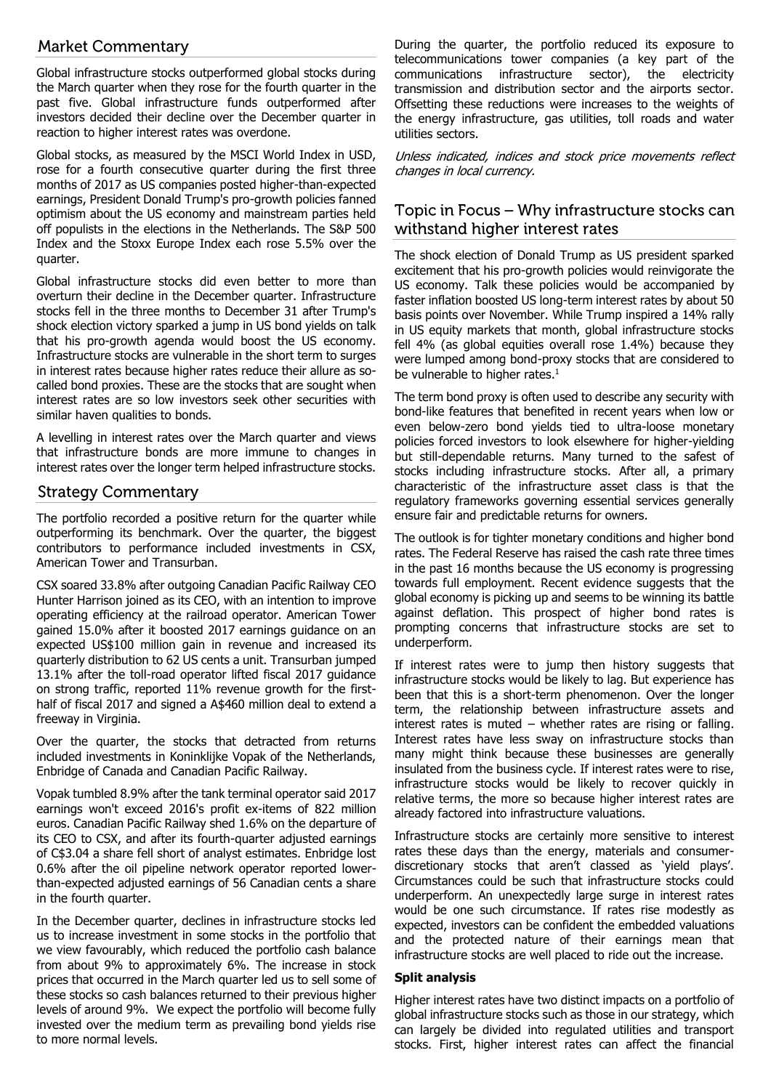# **Market Commentary**

Global infrastructure stocks outperformed global stocks during the March quarter when they rose for the fourth quarter in the past five. Global infrastructure funds outperformed after investors decided their decline over the December quarter in reaction to higher interest rates was overdone.

Global stocks, as measured by the MSCI World Index in USD, rose for a fourth consecutive quarter during the first three months of 2017 as US companies posted higher-than-expected earnings, President Donald Trump's pro-growth policies fanned optimism about the US economy and mainstream parties held off populists in the elections in the Netherlands. The S&P 500 Index and the Stoxx Europe Index each rose 5.5% over the quarter.

Global infrastructure stocks did even better to more than overturn their decline in the December quarter. Infrastructure stocks fell in the three months to December 31 after Trump's shock election victory sparked a jump in US bond yields on talk that his pro-growth agenda would boost the US economy. Infrastructure stocks are vulnerable in the short term to surges in interest rates because higher rates reduce their allure as socalled bond proxies. These are the stocks that are sought when interest rates are so low investors seek other securities with similar haven qualities to bonds.

A levelling in interest rates over the March quarter and views that infrastructure bonds are more immune to changes in interest rates over the longer term helped infrastructure stocks.

# **Strategy Commentary**

The portfolio recorded a positive return for the quarter while outperforming its benchmark. Over the quarter, the biggest contributors to performance included investments in CSX, American Tower and Transurban.

CSX soared 33.8% after outgoing Canadian Pacific Railway CEO Hunter Harrison joined as its CEO, with an intention to improve operating efficiency at the railroad operator. American Tower gained 15.0% after it boosted 2017 earnings guidance on an expected US\$100 million gain in revenue and increased its quarterly distribution to 62 US cents a unit. Transurban jumped 13.1% after the toll-road operator lifted fiscal 2017 guidance on strong traffic, reported 11% revenue growth for the firsthalf of fiscal 2017 and signed a A\$460 million deal to extend a freeway in Virginia.

Over the quarter, the stocks that detracted from returns included investments in Koninklijke Vopak of the Netherlands, Enbridge of Canada and Canadian Pacific Railway.

Vopak tumbled 8.9% after the tank terminal operator said 2017 earnings won't exceed 2016's profit ex-items of 822 million euros. Canadian Pacific Railway shed 1.6% on the departure of its CEO to CSX, and after its fourth-quarter adjusted earnings of C\$3.04 a share fell short of analyst estimates. Enbridge lost 0.6% after the oil pipeline network operator reported lowerthan-expected adjusted earnings of 56 Canadian cents a share in the fourth quarter.

In the December quarter, declines in infrastructure stocks led us to increase investment in some stocks in the portfolio that we view favourably, which reduced the portfolio cash balance from about 9% to approximately 6%. The increase in stock prices that occurred in the March quarter led us to sell some of these stocks so cash balances returned to their previous higher levels of around 9%. We expect the portfolio will become fully invested over the medium term as prevailing bond yields rise to more normal levels.

During the quarter, the portfolio reduced its exposure to telecommunications tower companies (a key part of the communications infrastructure sector), the electricity transmission and distribution sector and the airports sector. Offsetting these reductions were increases to the weights of the energy infrastructure, gas utilities, toll roads and water utilities sectors.

Unless indicated, indices and stock price movements reflect changes in local currency.

# Topic in Focus - Why infrastructure stocks can withstand higher interest rates

The shock election of Donald Trump as US president sparked excitement that his pro-growth policies would reinvigorate the US economy. Talk these policies would be accompanied by faster inflation boosted US long-term interest rates by about 50 basis points over November. While Trump inspired a 14% rally in US equity markets that month, global infrastructure stocks fell 4% (as global equities overall rose 1.4%) because they were lumped among bond-proxy stocks that are considered to be vulnerable to higher rates.<sup>1</sup>

The term bond proxy is often used to describe any security with bond-like features that benefited in recent years when low or even below-zero bond yields tied to ultra-loose monetary policies forced investors to look elsewhere for higher-yielding but still-dependable returns. Many turned to the safest of stocks including infrastructure stocks. After all, a primary characteristic of the infrastructure asset class is that the regulatory frameworks governing essential services generally ensure fair and predictable returns for owners.

The outlook is for tighter monetary conditions and higher bond rates. The Federal Reserve has raised the cash rate three times in the past 16 months because the US economy is progressing towards full employment. Recent evidence suggests that the global economy is picking up and seems to be winning its battle against deflation. This prospect of higher bond rates is prompting concerns that infrastructure stocks are set to underperform.

If interest rates were to jump then history suggests that infrastructure stocks would be likely to lag. But experience has been that this is a short-term phenomenon. Over the longer term, the relationship between infrastructure assets and interest rates is muted – whether rates are rising or falling. Interest rates have less sway on infrastructure stocks than many might think because these businesses are generally insulated from the business cycle. If interest rates were to rise, infrastructure stocks would be likely to recover quickly in relative terms, the more so because higher interest rates are already factored into infrastructure valuations.

Infrastructure stocks are certainly more sensitive to interest rates these days than the energy, materials and consumerdiscretionary stocks that aren't classed as 'yield plays'. Circumstances could be such that infrastructure stocks could underperform. An unexpectedly large surge in interest rates would be one such circumstance. If rates rise modestly as expected, investors can be confident the embedded valuations and the protected nature of their earnings mean that infrastructure stocks are well placed to ride out the increase.

### **Split analysis**

Higher interest rates have two distinct impacts on a portfolio of global infrastructure stocks such as those in our strategy, which can largely be divided into regulated utilities and transport stocks. First, higher interest rates can affect the financial